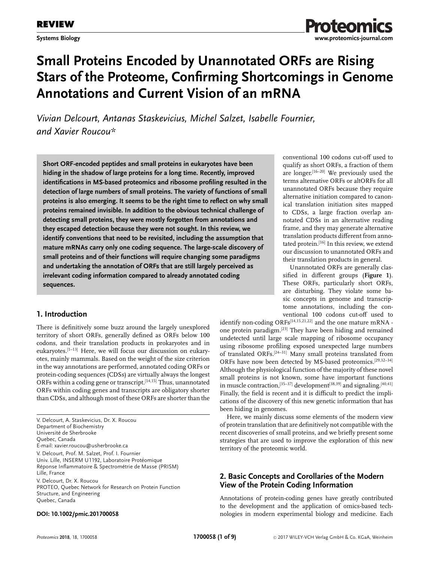

# **Small Proteins Encoded by Unannotated ORFs are Rising Stars of the Proteome, Confirming Shortcomings in Genome Annotations and Current Vision of an mRNA**

*Vivian Delcourt, Antanas Staskevicius, Michel Salzet, Isabelle Fournier, and Xavier Roucou\**

**Short ORF-encoded peptides and small proteins in eukaryotes have been hiding in the shadow of large proteins for a long time. Recently, improved identifications in MS-based proteomics and ribosome profiling resulted in the detection of large numbers of small proteins. The variety of functions of small proteins is also emerging. It seems to be the right time to reflect on why small proteins remained invisible. In addition to the obvious technical challenge of detecting small proteins, they were mostly forgotten from annotations and they escaped detection because they were not sought. In this review, we identify conventions that need to be revisited, including the assumption that mature mRNAs carry only one coding sequence. The large-scale discovery of small proteins and of their functions will require changing some paradigms and undertaking the annotation of ORFs that are still largely perceived as irrelevant coding information compared to already annotated coding sequences.**

# **1. Introduction**

There is definitively some buzz around the largely unexplored territory of short ORFs, generally defined as ORFs below 100 codons, and their translation products in prokaryotes and in eukaryotes.[1–13] Here, we will focus our discussion on eukaryotes, mainly mammals. Based on the weight of the size criterion in the way annotations are performed, annotated coding ORFs or protein-coding sequences (CDSs) are virtually always the longest ORFs within a coding gene or transcript.[14,15] Thus, unannotated ORFs within coding genes and transcripts are obligatory shorter than CDSs, and although most of these ORFs are shorter than the

| V. Delcourt, A. Staskevicius, Dr. X. Roucou<br>Department of Biochemistry<br>Université de Sherbrooke<br>Quebec, Canada<br>E-mail: xavier.roucou@usherbrooke.ca                  |
|----------------------------------------------------------------------------------------------------------------------------------------------------------------------------------|
| V. Delcourt, Prof. M. Salzet, Prof. I. Fournier<br>Univ. Lille, INSERM U1192, Laboratoire Protéomique<br>Réponse Inflammatoire & Spectrométrie de Masse (PRISM)<br>Lille, France |
| V. Delcourt, Dr. X. Roucou<br>PROTEO, Quebec Network for Research on Protein Function<br>Structure, and Engineering<br>Quebec, Canada                                            |

### **DOI: 10.1002/pmic.201700058**

conventional 100 codons cut-off used to qualify as short ORFs, a fraction of them are longer.[16–20] We previously used the terms alternative ORFs or altORFs for all unannotated ORFs because they require alternative initiation compared to canonical translation initiation sites mapped to CDSs, a large fraction overlap annotated CDSs in an alternative reading frame, and they may generate alternative translation products different from annotated protein.<sup>[16]</sup> In this review, we extend our discussion to unannotated ORFs and their translation products in general.

Unannotated ORFs are generally classified in different groups (**Figure 1**). These ORFs, particularly short ORFs, are disturbing. They violate some basic concepts in genome and transcriptome annotations, including the conventional 100 codons cut-off used to

identify non-coding ORFs<sup>[14,15,21,22]</sup> and the one mature mRNA one protein paradigm.[23] They have been hiding and remained undetected until large scale mapping of ribosome occupancy using ribosome profiling exposed unexpected large numbers of translated ORFs.<sup>[24–31]</sup> Many small proteins translated from ORFs have now been detected by MS-based proteomics.[29,32–34] Although the physiological function of the majority of these novel small proteins is not known, some have important functions in muscle contraction,<sup>[35–37]</sup> development<sup>[38,39]</sup> and signaling.<sup>[40,41]</sup> Finally, the field is recent and it is difficult to predict the implications of the discovery of this new genetic information that has been hiding in genomes.

Here, we mainly discuss some elements of the modern view of protein translation that are definitively not compatible with the recent discoveries of small proteins, and we briefly present some strategies that are used to improve the exploration of this new territory of the proteomic world.

## **2. Basic Concepts and Corollaries of the Modern View of the Protein Coding Information**

Annotations of protein-coding genes have greatly contributed to the development and the application of omics-based technologies in modern experimental biology and medicine. Each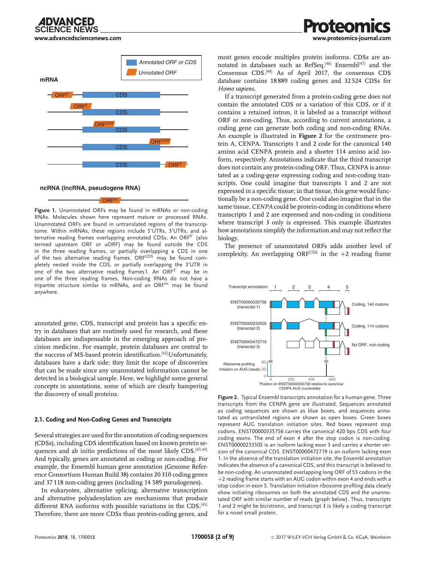**[www.advancedsciencenews.com](http://www.advancedsciencenews.com) [www.proteomics-journal.com](http://www.proteomics-journal.com)**





ORFnc

**Figure 1.** Unannotated ORFs may be found in mRNAs or non-coding RNAs. Molecules shown here represent mature or processed RNAs. Unannotated ORFs are found in untranslated regions of the transcriptome. Within mRNAs, these regions include 5'UTRs, 3'UTRs, and alternative reading frames overlapping annotated CDSs. An ORF5' (also termed upstream ORF or uORF) may be found outside the CDS in the three reading frames, or partially overlapping a CDS in one of the two alternative reading frames. ORFCDS may be found completely nested inside the CDS, or partially overlapping the 3'UTR in one of the two alternative reading frames  $1.$  An ORF<sup>3'</sup> may be in one of the three reading frames. Non-coding RNAs do not have a tripartite structure similar to mRNAs, and an ORF<sup>nc</sup> may be found anywhere.

annotated gene, CDS, transcript and protein has a specific entry in databases that are routinely used for research, and these databases are indispensable in the emerging approach of precision medicine. For example, protein databases are central to the success of MS-based protein identification.<sup>[42]</sup>Unfortunately, databases have a dark side; they limit the scope of discoveries that can be made since any unannotated information cannot be detected in a biological sample. Here, we highlight some general concepts in annotations, some of which are clearly hampering the discovery of small proteins.

#### **2.1. Coding and Non-Coding Genes and Transcripts**

Several strategies are used for the annotation of coding sequences (CDSs), including CDS identification based on known protein sequences and ab initio predictions of the most likely CDS.<sup>[43,44]</sup> And typically, genes are annotated as coding or non-coding. For example, the Ensembl human gene annotation (Genome Reference Consortium Human Build 38) contains 20 310 coding genes and 37 118 non-coding genes (including 14 589 pseudogenes).

In eukaryotes, alternative splicing, alternative transcription and alternative polyadenylation are mechanisms that produce different RNA isoforms with possible variations in the CDS.[45] Therefore, there are more CDSs than protein-coding genes, and most genes encode multiples protein isoforms. CDSs are annotated in databases such as  $RefSeq, [46]$  Ensembl<sup>[47]</sup> and the Consensus CDS.[48] As of April 2017, the consensus CDS database contains 18 889 coding genes and 32 524 CDSs for *Homo sapiens*.

If a transcript generated from a protein-coding gene does not contain the annotated CDS or a variation of this CDS, or if it contains a retained intron, it is labeled as a transcript without ORF or non-coding. Thus, according to current annotations, a coding gene can generate both coding and non-coding RNAs. An example is illustrated in **Figure 2** for the centromere protein A, CENPA. Transcripts 1 and 2 code for the canonical 140 amino acid CENPA protein and a shorter 114 amino acid isoform, respectively. Annotations indicate that the third transcript does not contain any protein-coding ORF. Thus, CENPA is annotated as a coding-gene expressing coding and non-coding transcripts. One could imagine that transcripts 1 and 2 are not expressed in a specific tissue; in that tissue, this gene would functionally be a non-coding gene. One could also imagine that in the same tissue, *CENPA* could be protein-coding in conditions where transcripts 1 and 2 are expressed and non-coding in conditions where transcript 3 only is expressed. This example illustrates how annotations simplify the information and may not reflect the biology.

The presence of unannotated ORFs adds another level of complexity. An overlapping ORFCDS in the  $+2$  reading frame



**Figure 2.** Typical Ensembl transcripts annotation for a human gene. Three transcripts from the CENPA gene are illustrated. Sequences annotated as coding sequences are shown as blue boxes, and sequences annotated as untranslated regions are shown as open boxes. Green boxes represent AUG translation initiation sites. Red boxes represent stop codons. ENST00000335756 carries the canonical 420 bps CDS with four coding exons. The end of exon 4 after the stop codon is non-coding. ENST00000233505 is an isoform lacking exon 3 and carries a shorter version of the canonical CDS. ENST00000472719 is an isoform lacking exon 1. In the absence of the translation initiation site, the Ensembl annotation indicates the absence of a canonical CDS, and this transcript is believed to be non-coding. An unannotated overlapping long ORF of 53 codons in the +2 reading frame starts with an AUG codon within exon 4 and ends with a stop codon in exon 5. Translation initiation ribosome profiling data clearly show initiating ribosomes on both the annotated CDS and the unannotated ORF with similar number of reads (graph below). Thus, transcripts 1 and 2 might be bicistronic, and transcript 3 is likely a coding transcript for a novel small protein.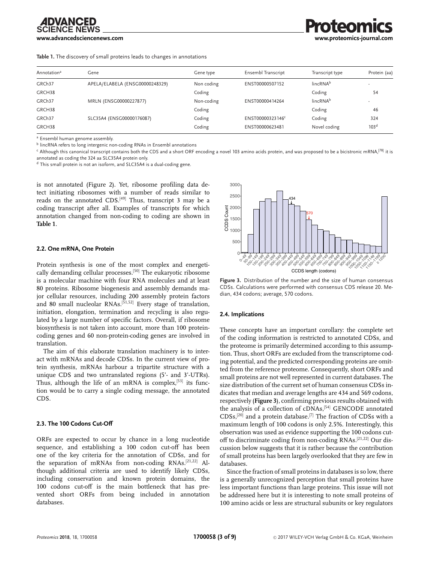

**Table 1.** The discovery of small proteins leads to changes in annotations

| Annotation <sup>a</sup> | Gene                            | Gene type  | Ensembl Transcript | Transcript type      | Protein (aa)             |
|-------------------------|---------------------------------|------------|--------------------|----------------------|--------------------------|
| GRCh37                  | APELA/ELABELA (ENSG00000248329) | Non coding | ENST00000507152    | lincRNA <sup>b</sup> | $\overline{\phantom{a}}$ |
| GRCH38                  |                                 | Coding     |                    | Coding               | 54                       |
| GRCh37                  | MRLN (ENSG00000227877)          | Non-coding | ENST00000414264    | $lineRNA^b$          | $\overline{\phantom{a}}$ |
| GRCH38                  |                                 | Coding     |                    | Coding               | 46                       |
| GRCh37                  | SLC35A4 (ENSG00000176087)       | Coding     | ENST00000323146°   | Coding               | 324                      |
| GRCH38                  |                                 | Coding     | ENST00000623481    | Novel coding         | 103 <sup>d</sup>         |

<sup>a</sup> Ensembl human genome assembly.

<sup>b</sup> lincRNA refers to long intergenic non-coding RNAs in Ensembl annotations

<sup>c</sup> Although this canonical transcript contains both the CDS and a short ORF encoding a novel 103 amino acids protein, and was proposed to be a bicistronic mRNA,<sup>[78]</sup> it is annotated as coding the 324 aa SLC35A4 protein only.

d This small protein is not an isoform, and SLC35A4 is a dual-coding gene.

is not annotated (Figure 2). Yet, ribosome profiling data detect initiating ribosomes with a number of reads similar to reads on the annotated CDS.<sup>[49]</sup> Thus, transcript 3 may be a coding transcript after all. Examples of transcripts for which annotation changed from non-coding to coding are shown in **Table 1**.

#### **2.2. One mRNA, One Protein**

Protein synthesis is one of the most complex and energetically demanding cellular processes.[50] The eukaryotic ribosome is a molecular machine with four RNA molecules and at least 80 proteins. Ribosome biogenesis and assembly demands major cellular resources, including 200 assembly protein factors and 80 small nucleolar RNAs.<sup>[51,52]</sup> Every stage of translation, initiation, elongation, termination and recycling is also regulated by a large number of specific factors. Overall, if ribosome biosynthesis is not taken into account, more than 100 proteincoding genes and 60 non-protein-coding genes are involved in translation.

The aim of this elaborate translation machinery is to interact with mRNAs and decode CDSs. In the current view of protein synthesis, mRNAs harbour a tripartite structure with a unique CDS and two untranslated regions (5'- and 3'-UTRs). Thus, although the life of an mRNA is complex,<sup>[53]</sup> its function would be to carry a single coding message, the annotated CDS.

#### **2.3. The 100 Codons Cut-Off**

ORFs are expected to occur by chance in a long nucleotide sequence, and establishing a 100 codon cut-off has been one of the key criteria for the annotation of CDSs, and for the separation of mRNAs from non-coding RNAs.[21,22] Although additional criteria are used to identify likely CDSs, including conservation and known protein domains, the 100 codons cut-off is the main bottleneck that has prevented short ORFs from being included in annotation databases.



**Figure 3.** Distribution of the number and the size of human consensus CDSs. Calculations were performed with consensus CDS release 20. Median, 434 codons; average, 570 codons.

#### **2.4. Implications**

These concepts have an important corollary: the complete set of the coding information is restricted to annotated CDSs, and the proteome is primarily determined according to this assumption. Thus, short ORFs are excluded from the transcriptome coding potential, and the predicted corresponding proteins are omitted from the reference proteome. Consequently, short ORFs and small proteins are not well represented in current databases. The size distribution of the current set of human consensus CDSs indicates that median and average lengths are 434 and 569 codons, respectively (**Figure 3**), confirming previous results obtained with the analysis of a collection of cDNAs,<sup>[54]</sup> GENCODE annotated  $CDSs$ ,<sup>[20]</sup> and a protein database.<sup>[7]</sup> The fraction of CDSs with a maximum length of 100 codons is only 2.5%. Interestingly, this observation was used as evidence supporting the 100 codons cutoff to discriminate coding from non-coding RNAs.[21,22] Our discussion below suggests that it is rather because the contribution of small proteins has been largely overlooked that they are few in databases.

Since the fraction of small proteins in databases is so low, there is a generally unrecognized perception that small proteins have less important functions than large proteins. This issue will not be addressed here but it is interesting to note small proteins of 100 amino acids or less are structural subunits or key regulators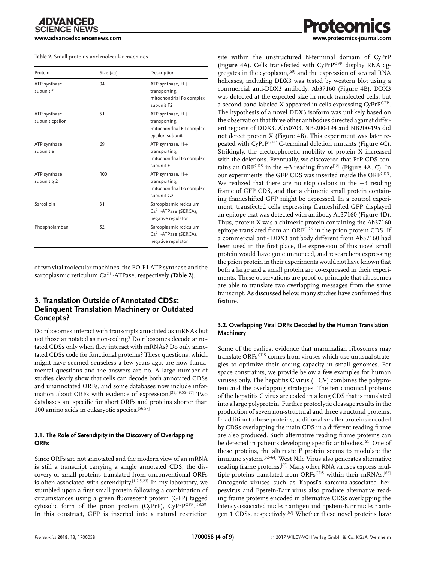#### **Table 2.** Small proteins and molecular machines

| Protein                         | Size (aa) | Description                                                                               |
|---------------------------------|-----------|-------------------------------------------------------------------------------------------|
| ATP synthase<br>subunit f       | 94        | ATP synthase, H+<br>transporting,<br>mitochondrial Fo complex<br>subunit F <sub>2</sub>   |
| ATP synthase<br>subunit epsilon | 51        | ATP synthase, H+<br>transporting,<br>mitochondrial F1 complex,<br>epsilon subunit         |
| ATP synthase<br>subunit e       | 69        | ATP synthase, $H+$<br>transporting,<br>mitochondrial Fo complex<br>subunit E              |
| ATP synthase<br>subunit g 2     | 100       | ATP synthase, $H+$<br>transporting,<br>mitochondrial Fo complex<br>subunit G <sub>2</sub> |
| Sarcolipin                      | 31        | Sarcoplasmic reticulum<br>$Ca2+$ -ATPase (SERCA),<br>negative regulator                   |
| Phospholamban                   | 52        | Sarcoplasmic reticulum<br>$Ca2+$ -ATPase (SERCA),<br>negative regulator                   |

of two vital molecular machines, the FO-F1 ATP synthase and the sarcoplasmic reticulum Ca2+-ATPase, respectively (**Table 2**).

# **3. Translation Outside of Annotated CDSs: Delinquent Translation Machinery or Outdated Concepts?**

Do ribosomes interact with transcripts annotated as mRNAs but not those annotated as non-coding? Do ribosomes decode annotated CDSs only when they interact with mRNAs? Do only annotated CDSs code for functional proteins? These questions, which might have seemed senseless a few years ago, are now fundamental questions and the answers are no. A large number of studies clearly show that cells can decode both annotated CDSs and unannotated ORFs, and some databases now include information about ORFs with evidence of expression.[29,49,55–57] Two databases are specific for short ORFs and proteins shorter than 100 amino acids in eukaryotic species.[56,57]

### **3.1. The Role of Serendipity in the Discovery of Overlapping ORFs**

Since ORFs are not annotated and the modern view of an mRNA is still a transcript carrying a single annotated CDS, the discovery of small proteins translated from unconventional ORFs is often associated with serendipity.<sup>[1,2,5,23]</sup> In my laboratory, we stumbled upon a first small protein following a combination of circumstances using a green fluorescent protein (GFP) tagged cytosolic form of the prion protein (CyPrP), CyPrPGFP.[58,59] In this construct, GFP is inserted into a natural restriction

site within the unstructured N-terminal domain of CyPrP (**Figure 4**A). Cells transfected with CyPrPGFP display RNA aggregates in the cytoplasm.<sup>[60]</sup> and the expression of several RNA helicases, including DDX3 was tested by western blot using a commercial anti-DDX3 antibody, Ab37160 (Figure 4B). DDX3 was detected at the expected size in mock-transfected cells, but a second band labeled X appeared in cells expressing CyPrP<sup>GFP</sup>. The hypothesis of a novel DDX3 isoform was unlikely based on the observation that three other antibodies directed against different regions of DDX3, Ab50703, NB-200-194 and NB200-195 did not detect protein X (Figure 4B). This experiment was later repeated with CyPrPGFP C-terminal deletion mutants (Figure 4C). Strikingly, the electrophoretic mobility of protein X increased with the deletions. Eventually, we discovered that PrP CDS contains an ORFCDS in the  $+3$  reading frame<sup>[18]</sup> (Figure 4A, C). In our experiments, the GFP CDS was inserted inside the ORFCDS. We realized that there are no stop codons in the  $+3$  reading frame of GFP CDS, and that a chimeric small protein containing frameshifted GFP might be expressed. In a control experiment, transfected cells expressing frameshifted GFP displayed an epitope that was detected with antibody Ab37160 (Figure 4D). Thus, protein X was a chimeric protein containing the Ab37160 epitope translated from an ORFCDS in the prion protein CDS. If a commercial anti- DDX3 antibody different from Ab37160 had been used in the first place, the expression of this novel small protein would have gone unnoticed, and researchers expressing the prion protein in their experiments would not have known that both a large and a small protein are co-expressed in their experiments. These observations are proof of principle that ribosomes are able to translate two overlapping messages from the same transcript. As discussed below, many studies have confirmed this feature.

### **3.2. Overlapping Viral ORFs Decoded by the Human Translation Machinery**

Some of the earliest evidence that mammalian ribosomes may translate ORFsCDS comes from viruses which use unusual strategies to optimize their coding capacity in small genomes. For space constraints, we provide below a few examples for human viruses only. The hepatitis C virus (HCV) combines the polyprotein and the overlapping strategies. The ten canonical proteins of the hepatitis C virus are coded in a long CDS that is translated into a large polyprotein. Further proteolytic cleavage results in the production of seven non-structural and three structural proteins. In addition to these proteins, additional smaller proteins encoded by CDSs overlapping the main CDS in a different reading frame are also produced. Such alternative reading frame proteins can be detected in patients developing specific antibodies.[61] One of these proteins, the alternate F protein seems to modulate the immune system.[62–64] West Nile Virus also generates alternative reading frame proteins.[65] Many other RNA viruses express multiple proteins translated from ORFsCDS within their mRNAs.<sup>[66]</sup> Oncogenic viruses such as Kaposi's sarcoma-associated herpesvirus and Epstein-Barr virus also produce alternative reading frame proteins encoded in alternative CDSs overlapping the latency-associated nuclear antigen and Epstein-Barr nuclear antigen 1 CDSs, respectively.<sup>[67]</sup> Whether these novel proteins have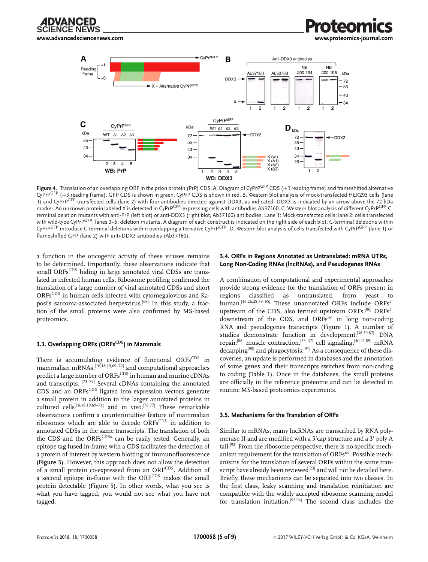

**[www.advancedsciencenews.com](http://www.advancedsciencenews.com) [www.proteomics-journal.com](http://www.proteomics-journal.com)**



Figure 4. Translation of an overlapping ORF in the prion protein (PrP) CDS. A. Diagram of CyPrP<sup>GFP</sup> CDS (+1 reading frame) and frameshifted alternative CyPrPGFP (+3 reading frame). GFP CDS is shown in green, CyPrP CDS is shown in red. B. Western blot analysis of mock-transfected HEK293 cells (lane 1) and CyPrP<sup>GFP</sup>-transfected cells (lane 2) with four antibodies directed against DDX3, as indicated. DDX3 is indicated by an arrow above the 72 kDa marker. An unknown protein labeled X is detected in CyPrP<sup>GFP</sup>-expressing cells with antibodies Ab37160. C. Western blot analysis of different CyPrP<sup>GFP</sup> Cterminal deletion mutants with anti-PrP (left blot) or anti-DDX3 (right blot, Ab37160) antibodies. Lane 1: Mock-transfected cells; lane 2: cells transfected with wild-type CyPrP<sup>GFP</sup>; lanes 3–5: deletion mutants. A diagram of each construct is indicated on the right side of each blot. C-terminal deletions within CyPrPGFP introduce C-terminal deletions within overlapping alternative CyPrPGFP. D. Western blot analysis of cells transfected with CyPrPGFP (lane 1) or frameshifted GFP (lane 2) with anti-DDX3 antibodies (Ab37160).

a function in the oncogenic activity of these viruses remains to be determined. Importantly, these observations indicate that small ORFsCDS hiding in large annotated viral CDSs are translated in infected human cells. Ribosome profiling confirmed the translation of a large number of viral annotated CDSs and short ORFsCDS in human cells infected with cytomegalovirus and Kaposi's sarcoma-associated herpesvirus.<sup>[68]</sup> In this study, a fraction of the small proteins were also confirmed by MS-based proteomics.

#### **3.3. Overlapping ORFs (ORFs<sup>CDS</sup>) in Mammals**

There is accumulating evidence of functional ORFsCDS in mammalian mRNAs,<sup>[16,18,19,69-72]</sup> and computational approaches predict a large number of ORFs<sup>CDS</sup> in human and murine cDNAs and transcripts.  $[73-75]$  Several cDNAs containing the annotated CDS and an ORFs<sup>CDS</sup> ligated into expression vectors generate a small protein in addition to the larger annotated proteins in cultured cells[16,18,19,69–71] and in vivo.[76,77] These remarkable observations confirm a counterintuitive feature of mammalian ribosomes which are able to decode ORFsCDS in addition to annotated CDSs in the same transcripts. The translation of both the CDS and the ORFsCDSs can be easily tested. Generally, an epitope tag fused in-frame with a CDS facilitates the detection of a protein of interest by western blotting or immunofluorescence (**Figure 5**). However, this approach does not allow the detection of a small protein co-expressed from an ORFCDS. Addition of a second epitope in-frame with the ORFCDS makes the small protein detectable (Figure 5). In other words, what you see is what you have tagged; you would not see what you have not tagged.

#### **3.4. ORFs in Regions Annotated as Untranslated: mRNA UTRs, Long Non-Coding RNAs (lncRNAs), and Pseudogenes RNAs**

A combination of computational and experimental approaches provide strong evidence for the translation of ORFs present in regions classified as untranslated, from yeast to human.<sup>[16,26,28,78-85]</sup> These unannotated ORFs include ORFs<sup>5'</sup> upstream of the CDS, also termed upstream ORFs, $[86]$  ORFs<sup>3'</sup> downstream of the CDS, and ORFs $nc$  in long non-coding RNA and pseudogenes transcripts (Figure 1). A number of studies demonstrate function in development,<sup>[38,39,87]</sup> DNA repair,<sup>[88]</sup> muscle contraction,<sup>[35–37]</sup> cell signaling,<sup>[40,41,89]</sup> mRNA  $decapping^{[90]}$  and phagocytosis.<sup>[91]</sup> As a consequence of these discoveries, an update is performed in databases and the annotation of some genes and their transcripts switches from non-coding to coding (Table 1). Once in the databases, the small proteins are officially in the reference proteome and can be detected in routine MS-based proteomics experiments.

#### **3.5. Mechanisms for the Translation of ORFs**

Similar to mRNAs, many lncRNAs are transcribed by RNA polymerase II and are modified with a 5'cap structure and a 3' poly A tail.[92] From the ribosome perspective, there is no specific mechanism requirement for the translation of ORFs<sup>nc</sup>. Possible mechanisms for the translation of several ORFs within the same transcript have already been reviewed<sup>[23]</sup> and will not be detailed here. Briefly, these mechanisms can be separated into two classes. In the first class, leaky scanning and translation reinitiation are compatible with the widely accepted ribosome scanning model for translation initiation.[93,94] The second class includes the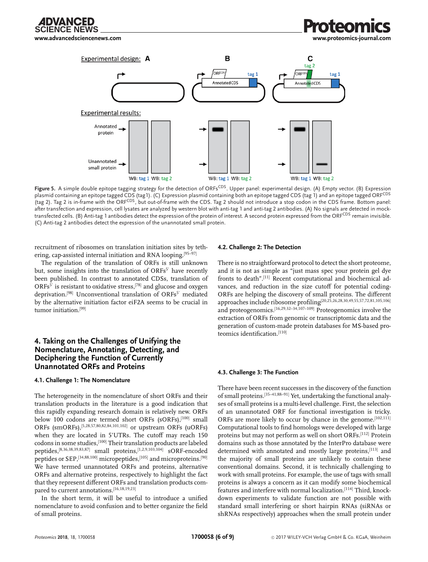



Figure 5. A simple double epitope tagging strategy for the detection of ORFs<sup>CDS</sup>. Upper panel: experimental design. (A) Empty vector. (B) Expression plasmid containing an epitope tagged CDS (tag1). (C) Expression plasmid containing both an epitope tagged CDS (tag 1) and an epitope tagged ORF<sup>CDS</sup> (tag 2). Tag 2 is in-frame with the ORFCDS, but out-of-frame with the CDS. Tag 2 should not introduce a stop codon in the CDS frame. Bottom panel: after transfection and expression, cell lysates are analyzed by western blot with anti-tag 1 and anti-tag 2 antibodies. (A) No signals are detected in mocktransfected cells. (B) Anti-tag 1 antibodies detect the expression of the protein of interest. A second protein expressed from the ORFCDS remain invisible. (C) Anti-tag 2 antibodies detect the expression of the unannotated small protein.

recruitment of ribosomes on translation initiation sites by tethering, cap-assisted internal initiation and RNA looping.[95–97]

The regulation of the translation of ORFs is still unknown but, some insights into the translation of ORFs<sup>5'</sup> have recently been published. In contrast to annotated CDSs, translation of  $ORFs<sup>5'</sup>$  is resistant to oxidative stress,<sup>[78]</sup> and glucose and oxygen deprivation.<sup>[98]</sup> Unconventional translation of ORFs<sup>5'</sup> mediated by the alternative initiation factor eiF2A seems to be crucial in tumor initiation.[99]

# **4. Taking on the Challenges of Unifying the Nomenclature, Annotating, Detecting, and Deciphering the Function of Currently Unannotated ORFs and Proteins**

#### **4.1. Challenge 1: The Nomenclature**

The heterogeneity in the nomenclature of short ORFs and their translation products in the literature is a good indication that this rapidly expanding research domain is relatively new. ORFs below 100 codons are termed short ORFs (sORFs),<sup>[100]</sup> small ORFs (smORFs),[5,28,57,80,82,84,101,102] or upstream ORFs (uORFs) when they are located in 5'UTRs. The cutoff may reach 150 codons in some studies,[100] Their translation products are labeled peptides,[8,36,38,39,83,87] small proteins,[1,2,9,103,104] sORF-encoded peptides or SEP,<sup>[34,88,100]</sup> micropeptides,<sup>[105]</sup> and microproteins.<sup>[90]</sup> We have termed unannotated ORFs and proteins, alternative ORFs and alternative proteins, respectively to highlight the fact that they represent different ORFs and translation products compared to current annotations.[16,18,19,23]

In the short term, it will be useful to introduce a unified nomenclature to avoid confusion and to better organize the field of small proteins.

#### **4.2. Challenge 2: The Detection**

There is no straightforward protocol to detect the short proteome, and it is not as simple as "just mass spec your protein gel dye fronts to death".[11] Recent computational and biochemical advances, and reduction in the size cutoff for potential coding-ORFs are helping the discovery of small proteins. The different approaches include ribosome profiling[20,25,26,28,30,49,55,57,72,81,105,106] and proteogenomics.<sup>[16,29,32–34,107–109]</sup> Proteogenomics involve the extraction of ORFs from genomic or transcriptomic data and the generation of custom-made protein databases for MS-based proteomics identification.[110]

#### **4.3. Challenge 3: The Function**

There have been recent successes in the discovery of the function of small proteins.[35–41,88–91] Yet, undertaking the functional analyses of small proteins is a multi-level challenge. First, the selection of an unannotated ORF for functional investigation is tricky. ORFs are more likely to occur by chance in the genome.  $[102, 111]$ Computational tools to find homologs were developed with large proteins but may not perform as well on short ORFs.[112] Protein domains such as those annotated by the InterPro database were determined with annotated and mostly large proteins,[113] and the majority of small proteins are unlikely to contain these conventional domains. Second, it is technically challenging to work with small proteins. For example, the use of tags with small proteins is always a concern as it can modify some biochemical features and interfere with normal localization.[114] Third, knockdown experiments to validate function are not possible with standard small interfering or short hairpin RNAs (siRNAs or shRNAs respectively) approaches when the small protein under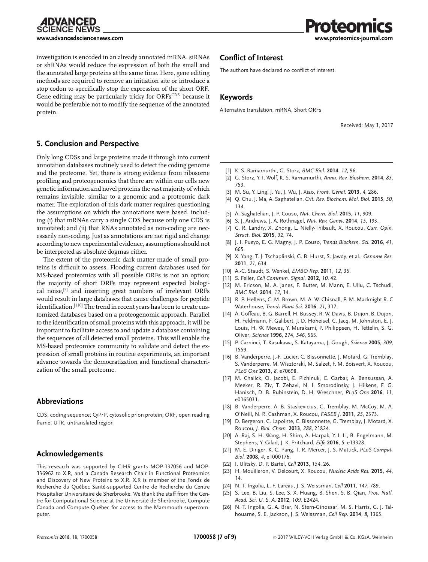**CIENCE NEWS** 

**[www.advancedsciencenews.com](http://www.advancedsciencenews.com) [www.proteomics-journal.com](http://www.proteomics-journal.com)**

investigation is encoded in an already annotated mRNA. siRNAs or shRNAs would reduce the expression of both the small and the annotated large proteins at the same time. Here, gene editing methods are required to remove an initiation site or introduce a stop codon to specifically stop the expression of the short ORF. Gene editing may be particularly tricky for ORFsCDS because it would be preferable not to modify the sequence of the annotated protein.

# **5. Conclusion and Perspective**

Only long CDSs and large proteins made it through into current annotation databases routinely used to detect the coding genome and the proteome. Yet, there is strong evidence from ribosome profiling and proteogenomics that there are within our cells new genetic information and novel proteins the vast majority of which remains invisible, similar to a genomic and a proteomic dark matter. The exploration of this dark matter requires questioning the assumptions on which the annotations were based, including (i) that mRNAs carry a single CDS because only one CDS is annotated; and (ii) that RNAs annotated as non-coding are necessarily non-coding. Just as annotations are not rigid and change according to new experimental evidence, assumptions should not be interpreted as absolute dogmas either.

The extent of the proteomic dark matter made of small proteins is difficult to assess. Flooding current databases used for MS-based proteomics with all possible ORFs is not an option; the majority of short ORFs may represent expected biological noise,[7] and inserting great numbers of irrelevant ORFs would result in large databases that cause challenges for peptide identification.<sup>[110]</sup> The trend in recent years has been to create customized databases based on a proteogenomic approach. Parallel to the identification of small proteins with this approach, it will be important to facilitate access to and update a database containing the sequences of all detected small proteins. This will enable the MS-based proteomics community to validate and detect the expression of small proteins in routine experiments, an important advance towards the democratization and functional characterization of the small proteome.

# **Abbreviations**

CDS, coding sequence; CyPrP, cytosolic prion protein; ORF, open reading frame; UTR, untranslated region

# **Acknowledgements**

This research was supported by CIHR grants MOP-137056 and MOP-136962 to X.R, and a Canada Research Chair in Functional Proteomics and Discovery of New Proteins to X.R. X.R is member of the Fonds de Recherche du Québec Santé-supported Centre de Recherche du Centre Hospitalier Universitaire de Sherbrooke. We thank the staff from the Centre for Computational Science at the Université de Sherbrooke, Compute Canada and Compute Québec for access to the Mammouth supercomputer.

# **Conflict of Interest**

The authors have declared no conflict of interest.

# **Keywords**

Alternative translation, mRNA, Short ORFs

Received: May 1, 2017

- [1] K. S. Ramamurthi, G. Storz, *BMC Biol.* **2014**, *12*, 96.
- [2] G. Storz, Y. I. Wolf, K. S. Ramamurthi, *Annu. Rev. Biochem.* **2014**, *83*, 753.
- [3] M. Su, Y. Ling, J. Yu, J. Wu, J. Xiao, *Front. Genet.* **2013**, *4*, 286.
- [4] Q. Chu, J. Ma, A. Saghatelian, *Crit. Rev. Biochem. Mol. Biol.* **2015**, *50*, 134.
- [5] A. Saghatelian, J. P. Couso, *Nat. Chem. Biol.* **2015**, *11*, 909.
- [6] S. J. Andrews, J. A. Rothnagel, *Nat. Rev. Genet.* **2014**, *15*, 193.
- [7] C. R. Landry, X. Zhong, L. Nielly-Thibault, X. Roucou, *Curr. Opin. Struct. Biol.* **2015**, *32*, 74.
- [8] J. I. Pueyo, E. G. Magny, J. P. Couso, *Trends Biochem. Sci.* **2016**, *41*, 665.
- [9] X. Yang, T. J. Tschaplinski, G. B. Hurst, S. Jawdy, et al., *Genome Res.* **2011**, *21*, 634.
- [10] A.-C. Staudt, S. Wenkel, *EMBO Rep.* **2011**, *12*, 35.
- [11] S. Feller, *Cell Commun. Signal.* **2012**, *10*, 42.
- [12] M. Ericson, M. A. Janes, F. Butter, M. Mann, E. Ullu, C. Tschudi, *BMC Biol.* **2014**, *12*, 14.
- [13] R. P. Hellens, C. M. Brown, M. A. W. Chisnall, P. M. Macknight R. C Waterhouse, *Trends Plant Sci.* **2016**, *21*, 317.
- [14] A. Goffeau, B. G. Barrell, H. Bussey, R. W. Davis, B. Dujon, B. Dujon, H. Feldmann, F. Galibert, J. D. Hoheisel, C. Jacq, M. Johnston, E. J. Louis, H. W. Mewes, Y. Murakami, P. Philippsen, H. Tettelin, S. G. Oliver, *Science* **1996**, 274, *546*, 563.
- [15] P. Carninci, T. Kasukawa, S. Katayama, J. Gough, *Science* **2005**, *309*, 1559.
- [16] B. Vanderperre, J.-F. Lucier, C. Bissonnette, J. Motard, G. Tremblay, S. Vanderperre, M. Wisztorski, M. Salzet, F. M. Boisvert, X. Roucou, *PLoS One* **2013**, *8*, e70698.
- [17] M. Chalick, O. Jacobi, E. Pichinuk, C. Garbar, A. Bensussan, A. Meeker, R. Ziv, T. Zehavi, N. I. Smorodinsky, J. Hilkens, F. G. Hanisch, D. B. Rubinstein, D. H. Wreschner, *PLoS One* **2016**, *11*, e0165031.
- [18] B. Vanderperre, A. B. Staskevicius, G. Tremblay, M. McCoy, M. A. O'Neill, N. R. Cashman, X. Roucou, *FASEB J.* **2011**, *25*, 2373.
- [19] D. Bergeron, C. Lapointe, C. Bissonnette, G. Tremblay, J. Motard, X. Roucou, *J. Biol. Chem.* **2013**, *288*, 21824.
- [20] A. Raj, S. H. Wang, H. Shim, A. Harpak, Y. I. Li, B. Engelmann, M. Stephens, Y. Gilad, J. K. Pritchard, *Elife* **2016**, *5*: e13328.
- [21] M. E. Dinger, K. C. Pang, T. R. Mercer, J. S. Mattick, *PLoS Comput. Biol.* **2008**, *4*, e1000176.
- [22] I. Ulitsky, D. P. Bartel, *Cell* **2013**, *154*, 26.
- [23] H. Mouilleron, V. Delcourt, X. Roucou, *Nucleic Acids Res.* **2015**, *44*, 14.
- [24] N. T. Ingolia, L. F. Lareau, J. S. Weissman, *Cell* **2011**, *147*, 789.
- [25] S. Lee, B. Liu, S. Lee, S. X. Huang, B. Shen, S. B. Qian, *Proc. Natl. Acad. Sci. U. S. A.* **2012**, *109*, E2424.
- [26] N. T. Ingolia, G. A. Brar, N. Stern-Ginossar, M. S. Harris, G. J. Talhouarne, S. E. Jackson, J. S. Weissman, *Cell Rep*. **2014**, *8*, 1365.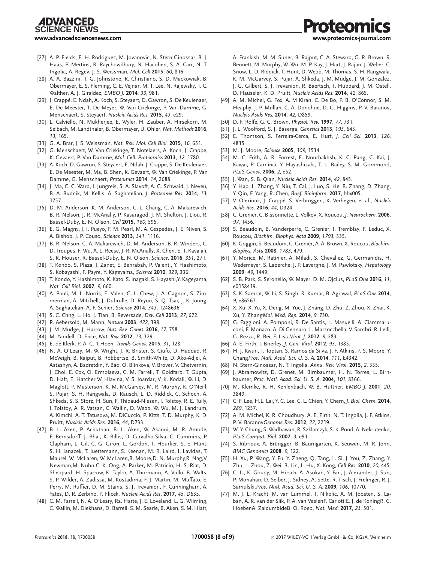### *ADVANCED* **SCIENCE NEWS**

- [27] A. P. Fields, E. H. Rodriguez, M. Jovanovic, N. Stern-Ginossar, B. J. Haas, P. Mertins, R. Raychowdhury, N. Hacohen, S. A. Carr, N. T. Ingolia, A. Regev, J. S. Weissman, *Mol. Cell* **2015**, *60*, 816.
- [28] A. A. Bazzini, T. G. Johnstone, R. Christiano, S. D. Mackowiak, B. Obermayer, E. S. Fleming, C. E. Vejnar, M. T. Lee, N. Rajewsky, T. C. Walther, A. J. Giraldez, *EMBO J.* **2014**, *33*, 981.
- [29] J. Crappé, E. Ndah, A. Koch, S. Steyaert, D. Gawron, S. De Keulenaer, E. De Meester, T. De Meyer, W. Van Criekinge, P. Van Damme, G. Menschaert, S. Steyaert, *Nucleic Acids Res.* **2015**, *43*, e29.
- [30] L. Calviello, N. Mukherjee, E. Wyler, H. Zauber, A. Hirsekorn, M. Selbach, M. Landthaler, B. Obermayer, U. Ohler, *Nat. Methods* **2016**, *13*, 165.
- [31] G. A. Brar, J. S. Weissman, *Nat. Rev. Mol. Cell Biol.* **2015**, *16*, 651.
- [32] G. Menschaert, W. Van Criekinge, T. Notelaers, A. Koch, J. Crappe, K. Gevaert, P. Van Damme, *Mol. Cell. Proteomics* **2013**, *12*, 1780.
- [33] A. Koch, D. Gawron, S. Steyaert, E. Ndah, J. Crappe, S. De Keulenaer, E. De Meester, M. Ma, B. Shen, K. Gevaert, W. Van Criekinge, P. Van Damme, G. Menschaert, *Proteomics* **2014**, *14*, 2688.
- [34] J. Ma, C. C. Ward, I. Jungreis, S. A. Slavoff, A. G. Schwaid, J. Neveu, B. A. Budnik, M. Kellis, A. Saghatelian, *J. Proteome Res.* **2014**, *13*, 1757.
- [35] D. M. Anderson, K. M. Anderson, C.-L. Chang, C. A. Makarewich, B. R. Nelson, J. R. McAnally, P. Kasaragod, J. M. Shelton, J. Liou, R. Bassel-Duby, E. N. Olson, *Cell* **2015**, *160*, 595.
- [36] E. G. Magny, J. I. Pueyo, F. M. Pearl, M. A. Cespedes, J. E. Niven, S. A. Bishop, J. P. Couso, *Science* **2013**, *341*, 1116.
- [37] B. R. Nelson, C. A. Makarewich, D. M. Anderson, B. R. Winders, C. D. Troupes, F. Wu, A. L. Reese, J. R. McAnally, X. Chen, E. T. Kavalali, S. R. Houser, R. Bassel-Duby, E. N. Olson, *Science.* **2016**, *351*, 271.
- [38] T. Kondo, S. Plaza, J. Zanet, E. Benrabah, P. Valenti, Y. Hashimoto, S. Kobayashi, F. Payre, Y. Kageyama, *Science* **2010**, *329*, 336.
- [39] T. Kondo, Y. Hashimoto, K. Kato, S. Inagaki, S. Hayashi,Y. Kageyama, *Nat. Cell Biol.* **2007**, *9*, 660.
- [40] A. Pauli, M. L. Norris, E. Valen, G.-L. Chew, J. A. Gagnon, S. Zimmerman, A. Mitchell, J. Dubrulle, D. Reyon, S. Q. Tsai, J. K. Joung, A. Saghatelian, A. F. Schier, *Science* **2014**, *343*, 1248636
- [41] S. C. Chng, L. Ho, J. Tian, B. Reversade, *Dev. Cell* **2013**, *27*, 672.
- [42] R. Aebersold, M. Mann, *Nature* **2003**, *422*, 198.
- [43] J. M. Mudge, J. Harrow, *Nat. Rev. Genet.* **2016**, *17*, 758.
- [44] M. Yandell, D. Ence, *Nat. Rev.* **2012**, *13*, 329.
- [45] E. de Klerk, P. A. C. 't Hoen, *Trends Genet.* **2015**, *31*, 128.
- [46] N. A. O'Leary, M. W. Wright, J. R. Brister, S. Ciufo, D. Haddad, R. McVeigh, B. Rajput, B. Robbertse, B. Smith-White, D. Ako-Adjei, A. Astashyn, A. Badretdin, Y. Bao, O. Blinkova, V. Brover, V. Chetvernin, J. Choi, E. Cox, O. Ermolaeva, C. M. Farrell, T. Goldfarb, T. Gupta, D. Haft, E. Hatcher,W. Hlavina, V. S. Joardar, V. K. Kodali, W. Li, D. Maglott, P. Masterson, K. M. McGarvey, M. R. Murphy, K. O'Neill, S. Pujar, S. H. Rangwala, D. Rausch, L. D. Riddick, C. Schoch, A. Shkeda, S. S. Storz, H. Sun, F. Thibaud-Nissen, I. Tolstoy, R. E. Tully, I. Tolstoy, A. R. Vatsan, C. Wallin, D. Webb, W. Wu, M. J. Landrum, A. Kimchi, A. T. Tatusova, M. DiCuccio, P. Kitts, T. D. Murphy, K. D. Pruitt, *Nucleic Acids Res.* **2016**, *44*, D733.
- [47] B. L. Aken, P. Achuthan, B. L. Aken, W. Akanni, M. R. Amode, F. Bernsdorff, J. Bhai, K. Billis, D. Carvalho-Silva, C. Cummins, P. Clapham, L. Gil, C. G. Giron, L. Gordon, T. Hourlier, S. E. Hunt, S. H. Janacek, T. Juettemann, S. Keenan, M. R. Laird, I. Lavidas, T. Maurel, W. McLaren, W. McLaren,B. Moore,D. N. Murphy,R. Nag,V. Newman,M. Nuhn,C. K. Ong, A. Parker, M. Patricio, H. S. Riat, D. Sheppard, H. Sparrow, K. Taylor, A. Thormann, A. Vullo, B. Walts, S. P. Wilder, A. Zadissa, M. Kostadima, F. J. Martin, M. Muffato, E. Perry, M. Ruffier, D. M. Stains, S. J. Trevanion, F. Cunningham, A. Yates, D. R. Zerbino, P. Flicek, *Nucleic Acids Res*. **2017**, *45*, D635.
- [48] C. M. Farrell, N. A. O'Leary, Ra. Harte, J. E. Loveland, L. G. Wilming, C. Wallin, M. Diekhans, D. Barrell, S. M. Searle, B. Aken, S. M. Hiatt,

A. Frankish, M. M. Suner, B. Rajput, C. A. Steward, G. R. Brown, R. Bennett, M. Murphy, W. Wu, M. P. Kay, J. Hart, J. Rajan, J. Weber, C. Snow, L. D. Riddick, T. Hunt, D. Webb, M. Thomas, S. H. Rangwala, K. M. McGarvey, S. Pujar, A. Shkeda, J. M. Mudge, J. M. Gonzalez, J. G. Gilbert, S. J. Trevanion, R. Baertsch, T. Hubbard, J. M. Ostell, D. Haussler, K. D. Pruitt, *Nucleic Acids Res.* **2014**, *42*, 865.

- [49] A. M. Michel, G. Fox, A. M Kiran, C. De Bo, P. B. O'Connor, S. M. Heaphy, J. P. Mullan, C. A. Donohue, D. G. Higgins, P. V. Baranov, *Nucleic Acids Res.* **2014**, *42*, D859.
- [50] D. F. Rolfe, G. C. Brown, *Physiol. Rev.* **1997**, *77*, 731.
- [51] J. L. Woolford, S. J. Baserga, *Genetics* **2013**, *195*, 643.
- [52] E. Thomson, S. Ferreira-Cerca, E. Hurt, *J. Cell Sci.* **2013**, *126*, 4815.
- [53] M. J. Moore, *Science* **2005**, *309*, 1514.
- [54] M. C. Frith, A. R. Forrest, E. Nourbakhsh, K. C. Pang, C. Kai, J. Kawai, P. Carninci, Y. Hayashizaki, T. L. Bailey, S. M. Grimmond, *PLoS Genet*. **2006**, *2*, e52.
- [55] J. Wan, S. B. Qian, *Nucleic Acids Res.* **2014**, *42*, 845.
- [56] Y. Hao, L. Zhang, Y. Niu, T. Cai, J. Luo, S. He, B. Zhang, D. Zhang, Y. Qin, F. Yang, R. Chen, *Brief. Bioinform.* **2017**, bbx005.
- [57] V. Olexiouk, J. Crapp´e, S. Verbruggen, K. Verhegen, et al., *Nucleic Acids Res.* **2016**, *44*, D324.
- [58] C. Grenier, C. Bissonnette, L. Volkov, X. Roucou, *J. Neurochem.* **2006**, *97*, 1456.
- [59] S. Beaudoin, B. Vanderperre, C. Grenier, I. Tremblay, F. Leduc, X. Roucou, *Biochim. Biophys. Acta* **2009**, *1793*, 335.
- [60] K. Goggin, S. Beaudoin, C. Grenier, A. A. Brown, X. Roucou, *Biochim. Biophys. Acta* **2008**, *1783*, 479.
- [61] Y. Morice, M. Ratinier, A. Miladi, S. Chevaliez, G. Germanidis, H. Wedemeyer, S. Laperche, J. P. Lavergne, J. M. Pawlotsky, *Hepatology* **2009**, *49*, 1449.
- [62] S. B. Park, S. Seronello, W. Mayer, D. M. Ojcius, *PLoS One* **2016**, *11*, e0158419.
- [63] S. K. Samrat, W. Li, S. Singh, R. Kumar, B. Agrawal, *PLoS One* **2014**, *9*, e86567.
- [64] X. Xu, X. Yu, X. Deng, M. Yue, J. Zhang, D. Zhu, Z. Zhou, X. Zhai, K. Xu, Y. Zhang*Mol. Med. Rep.* **2014**, *9*, 730.
- [65] G. Faggioni, A. Pomponi, R. De Santis, L. Masuelli, A. Ciammaruconi, F. Monaco, A. Di Gennaro, L. Marzocchella, V. Sambri, R. Lelli, G. Rezza, R. Bei, F. Lista*Virol. J.* **2012**, *9*, 283.
- [66] A. E. Firth, I. Brierley, *J. Gen. Virol.* **2012**, *93*, 1385.
- [67] H. J. Kwun, T. Toptan, S. Ramos da Silva, J. F. Atkins, P. S. Moore, Y. Chang*Proc. Natl. Acad. Sci. U. S. A.* **2014**, *111*, E4342.
- [68] N. Stern-Ginossar, N. T. Ingolia, *Annu. Rev. Virol.* **2015**, *2*, 335.
- [69] J. Abramowitz, D. Grenet, M. Birnbaumer, H. N. Torres, L. Birnbaumer, *Proc. Natl. Acad. Sci. U. S. A.* **2004**, *101*, 8366.
- [70] M. Klemke, R. H. Kehlenbach, W. B. Huttner, *EMBO J.* **2001**, *20*, 3849.
- [71] C. F. Lee, H.L. Lai, Y. C. Lee, C. L. Chien, Y. Chern, *J. Biol. Chem.* **2014**, *289*, 1257.
- [72] A. M. Michel, K. R. Choudhury, A. E. Firth, N. T. Ingolia, J. F. Atkins, P. V. Baranov*Genome Res.* **2012**, *22*, 2219.
- [73] W.-Y. Chung, S. Wadhawan, R. Szklarczyk, S. K. Pond, A. Nekrutenko, *PLoS Comput. Biol.* **2007**, *3*, e91.
- [74] S. Ribrioux, A. Brüngger, B. Baumgarten, K. Seuwen, M. R. John, *BMC Genomics* **2008**, *9*, 122.
- [75] H. Xu, P. Wang, Y. Fu, Y. Zheng, Q. Tang, L. Si, J. You, Z. Zhang, Y. Zhu, L. Zhou, Z. Wei, B. Lin, L. Hu, X. Kong, *Cell Res.* **2010**, *20*, 445.
- [76] C. Li, K. Goudy, M. Hirsch, A. Asokan, Y. Fan, J. Alexander, J. Sun, P. Monahan, D. Seiber, J. Sidney, A. Sette, R. Tisch, J. Frelinger, R. J. Samulski,*Proc. Natl. Acad. Sci. U. S. A.* **2009**, *106*, 10770.
- [77] M. J. L. Kracht, M. van Lummel, T. Nikolic, A. M. Joosten, S. Laban, A. R. van der Slik, P. A. van VeelenF. CarlottiE. J. de KoningR. C. HoebenA. ZaldumbideB. O. Roep, *Nat. Med.* **2017**, *23*, 501.